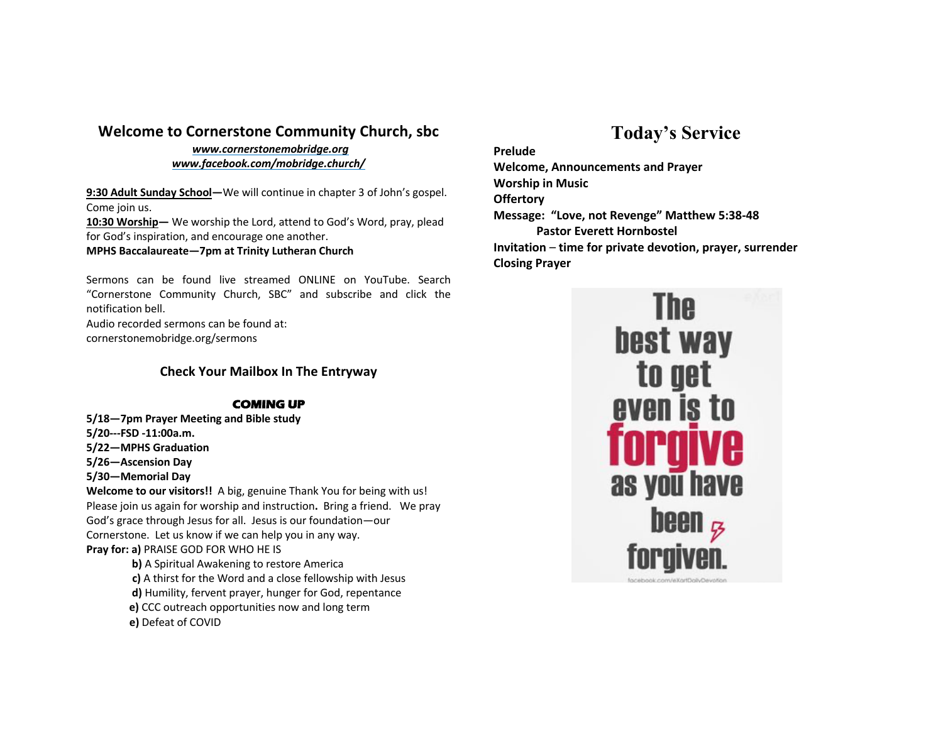### **Welcome to Cornerstone Community Church, sbc**

*www.cornerstonemobridge.org www.facebook.com/mobridge.church/*

**9:30 Adult Sunday School—**We will continue in chapter 3 of John's gospel. Come join us.

**10:30 Worship—** We worship the Lord, attend to God's Word, pray, plead for God's inspiration, and encourage one another.

**MPHS Baccalaureate—7pm at Trinity Lutheran Church**

Sermons can be found live streamed ONLINE on YouTube. Search "Cornerstone Community Church, SBC" and subscribe and click the notification bell.

Audio recorded sermons can be found at: cornerstonemobridge.org/sermons

#### **Check Your Mailbox In The Entryway**

#### **COMING UP**

**5/18—7pm Prayer Meeting and Bible study 5/20---FSD -11:00a.m. 5/22—MPHS Graduation 5/26—Ascension Day 5/30—Memorial Day**

**Welcome to our visitors!!** A big, genuine Thank You for being with us! Please join us again for worship and instruction**.** Bring a friend. We pray God's grace through Jesus for all. Jesus is our foundation—our Cornerstone. Let us know if we can help you in any way. **Pray for: a)** PRAISE GOD FOR WHO HE IS

**b)** A Spiritual Awakening to restore America **c)** A thirst for the Word and a close fellowship with Jesus **d)** Humility, fervent prayer, hunger for God, repentance **e)** CCC outreach opportunities now and long term **e)** Defeat of COVID

# **Today's Service**

**Prelude Welcome, Announcements and Prayer Worship in Music Offertory Message: "Love, not Revenge" Matthew 5:38-48 Pastor Everett Hornbostel Invitation** – **time for private devotion, prayer, surrender Closing Prayer**